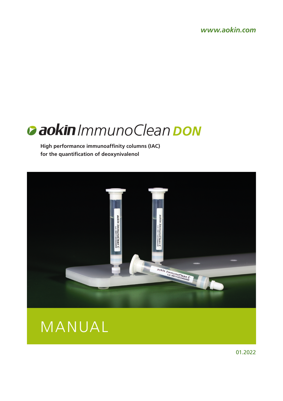*www.aokin.com*



**High performance immunoaffinity columns (IAC) for the quantification of deoxynivalenol**





01.2022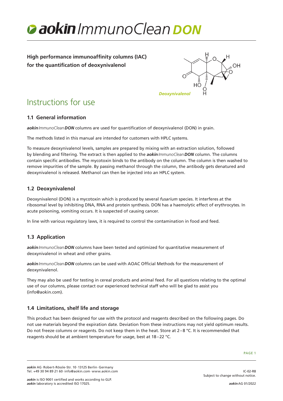

# **High performance immunoaffinity columns (IAC) for the quantification of deoxynivalenol**



# Instructions for use

# **1.1 General information**

*aokinImmunoCleanDON* columns are used for quantification of deoxynivalenol (DON) in grain.

The methods listed in this manual are intended for customers with HPLC systems.

To measure deoxynivalenol levels, samples are prepared by mixing with an extraction solution, followed by blending and filtering. The extract is then applied to the *aokinImmunoCleanDON* column. The columns contain specific antibodies. The mycotoxin binds to the antibody on the column. The column is then washed to remove impurities of the sample. By passing methanol through the column, the antibody gets denatured and deoxynivalenol is released. Methanol can then be injected into an HPLC system.

# **1.2 Deoxynivalenol**

Deoxynivalenol (DON) is a mycotoxin which is produced by several *fusarium* species. It interferes at the ribosomal level by inhibiting DNA, RNA and protein synthesis. DON has a haemolytic effect of erythrocytes. In acute poisoning, vomiting occurs. It is suspected of causing cancer.

In line with various regulatory laws, it is required to control the contamination in food and feed.

# **1.3 Application**

*aokinImmunoCleanDON* columns have been tested and optimized for quantitative measurement of deoxynivalenol in wheat and other grains.

*aokinImmunoCleanDON* columns can be used with AOAC Official Methods for the measurement of deoxynivalenol.

They may also be used for testing in cereal products and animal feed. For all questions relating to the optimal use of our columns, please contact our experienced technical staff who will be glad to assist you (info@aokin.com).

# **1.4 Limitations, shelf life and storage**

This product has been designed for use with the protocol and reagents described on the following pages. Do not use materials beyond the expiration date. Deviation from these instructions may not yield optimum results. Do not freeze columns or reagents. Do not keep them in the heat. Store at 2–8 °C. It is recommended that reagents should be at ambient temperature for usage, best at 18–22 °C.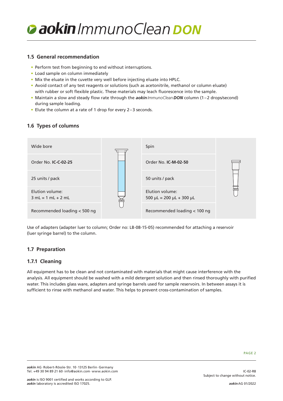

### **1.5 General recommendation**

- Perform test from beginning to end without interruptions.
- Load sample on column immediately
- Mix the eluate in the cuvette very well before injecting eluate into HPLC.
- Avoid contact of any test reagents or solutions (such as acetonitrile, methanol or column eluate) with rubber or soft flexible plastic. These materials may leach fluorescence into the sample.
- Maintain a slow and steady flow rate through the *aokinImmunoCleanDON* column (1–2 drops/second) during sample loading.
- Elute the column at a rate of 1 drop for every 2–3 seconds.

# **1.6 Types of columns**



Use of adapters (adapter luer to column; Order no: LB-08-15-05) recommended for attaching a reservoir (luer syringe barrel) to the column.

# **1.7 Preparation**

#### **1.7.1 Cleaning**

All equipment has to be clean and not contaminated with materials that might cause interference with the analysis. All equipment should be washed with a mild detergent solution and then rinsed thoroughly with purified water. This includes glass ware, adapters and syringe barrels used for sample reservoirs. In between assays it is sufficient to rinse with methanol and water. This helps to prevent cross-contamination of samples.

IC-02-R8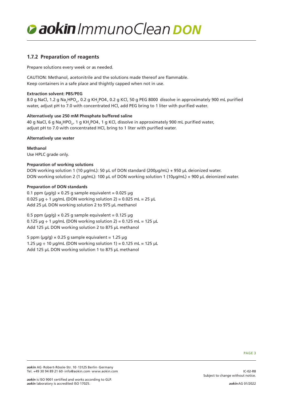

# **1.7.2 Preparation of reagents**

Prepare solutions every week or as needed.

CAUTION: Methanol, acetonitrile and the solutions made thereof are flammable. Keep containers in a safe place and thightly capped when not in use.

#### **Extraction solvent: PBS/PEG**

8.0 g NaCl, 1.2 g Na<sub>2</sub>HPO<sub>4</sub>, 0.2 g KH<sub>2</sub>PO4, 0.2 g KCl, 50 g PEG 8000 dissolve in approximately 900 mL purified water, adjust pH to 7.0 with concentrated HCl, add PEG bring to 1 liter with purified water.

#### **Alternatively use 250 mM Phosphate buffered saline**

40 g NaCl, 6 g Na<sub>2</sub>HPO<sub>4</sub>, 1 g KH<sub>2</sub>PO4, 1 g KCl, dissolve in approximately 900 mL purified water, adjust pH to 7.0 with concentrated HCl, bring to 1 liter with purified water.

#### **Alternatively use water**

**Methanol** Use HPLC grade only.

#### **Preparation of working solutions**

DON working solution 1 (10 µg/mL): 50 µL of DON standard (200µg/mL) + 950 µL deionized water. DON working solution 2 (1 µg/mL): 100 µL of DON working solution 1 (10µg/mL) + 900 µL deionized water.

#### **Preparation of DON standards**

0.1 ppm ( $\mu$ g/g) × 0.25 g sample equivalent = 0.025  $\mu$ g  $0.025 \mu$ g ÷ 1  $\mu$ g/mL (DON working solution 2) = 0.025 mL = 25  $\mu$ L Add 25 µL DON working solution 2 to 975 µL methanol

0.5 ppm ( $\mu$ g/g)  $\times$  0.25 g sample equivalent = 0.125  $\mu$ g  $0.125 \mu g \div 1 \mu g/mL$  (DON working solution 2) = 0.125 mL = 125  $\mu L$ Add 125 µL DON working solution 2 to 875 µL methanol

5 ppm ( $\mu$ g/g)  $\times$  0.25 g sample equivalent = 1.25  $\mu$ g 1.25  $\mu$ g ÷ 10  $\mu$ g/mL (DON working solution 1) = 0.125 mL = 125  $\mu$ L Add 125 µL DON working solution 1 to 875 µL methanol

PAGE 3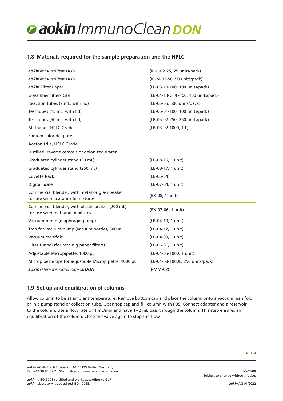# *ImmunoClean DON*

# **1.8 Materials required for the sample preparation and the HPLC**

| aokin ImmunoClean DON                                                                | (IC-C-02-25, 25 units/pack)         |
|--------------------------------------------------------------------------------------|-------------------------------------|
| aokin ImmunoClean DON                                                                | (IC-M-02-50, 50 units/pack)         |
| aokin Filter Paper                                                                   | (LB-05-10-100, 100 units/pack)      |
| Glass fiber filters GF/F                                                             | (LB-04-13-GF/F-100, 100 units/pack) |
| Reaction tubes (2 mL, with lid)                                                      | (LB-05-05, 500 units/pack)          |
| Test tubes (15 mL, with lid)                                                         | (LB-05-01-100, 100 units/pack)      |
| Test tubes (50 mL, with lid)                                                         | (LB-05-02-250, 250 units/pack)      |
| Methanol, HPLC Grade                                                                 | (LB-03-02-1000, 1L)                 |
| Sodium chloride, pure                                                                |                                     |
| Acetonitrile, HPLC Grade                                                             |                                     |
| Distilled, reverse osmosis or deionized water                                        |                                     |
| Graduated cylinder stand (50 mL)                                                     | (LB-08-16, 1 unit)                  |
| Graduated cylinder stand (250 mL)                                                    | (LB-08-17, 1 unit)                  |
| <b>Cuvette Rack</b>                                                                  | $(LB-05-04)$                        |
| <b>Digital Scale</b>                                                                 | (LB-07-04, 1 unit)                  |
| Commercial blender, with metal or glass beaker<br>for use with acetonitrile mixtures | (EX-08, 1 unit)                     |
| Commercial blender, with plastic beaker (200 mL)<br>for use with methanol mixtures   | (EX-07-06, 1 unit)                  |
| Vacuum-pump (diaphragm pump)                                                         | (LB-04-10, 1 unit)                  |
| Trap for Vacuum-pump (vacuum bottle), 500 mL                                         | (LB-04-12, 1 unit)                  |
| Vacuum manifold                                                                      | (LB-04-09, 1 unit)                  |
| Filter funnel (for retainig paper filters)                                           | (LB-06-01, 1 unit)                  |
| Adjustable Micropipette, 1000 µL                                                     | (LB-04-05-1000, 1 unit)             |
| Micropipette tips for adjustable Micropipette, 1000 µL                               | (LB-04-08-1000L, 250 units/pack)    |
| aokin reference matrix material DON                                                  | (RMM-02)                            |

# **1.9 Set up and equilibration of columns**

Allow column to be at ambient temperature. Remove bottom cap and place the column onto a vacuum manifold, or in a pump stand or collection tube. Open top cap and fill column with PBS. Connect adapter and a reservoir to the column. Use a flow rate of 1 mL/min and have 1–2 mL pass through the column. This step ensures an equilibration of the column. Close the valve again to stop the flow.

IC-02-R8

Subject to change without notice.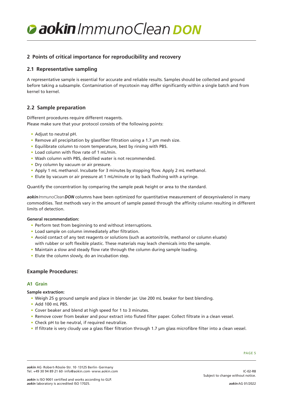# *ImmunoClean DON*

# **2 Points of critical importance for reproducibility and recovery**

# **2.1 Representative sampling**

A representative sample is essential for accurate and reliable results. Samples should be collected and ground before taking a subsample. Contamination of mycotoxin may differ significantly within a single batch and from kernel to kernel.

# **2.2 Sample preparation**

Different procedures require different reagents. Please make sure that your protocol consists of the following points:

- Adjust to neutral pH.
- Remove all precipitation by glassfiber filtration using a 1.7 µm mesh size.
- Equilibrate column to room temperature, best by rinsing with PBS.
- Load column with flow rate of 1 mL/min.
- Wash column with PBS, destilled water is not recommended.
- Dry column by vacuum or air pressure.
- Apply 1 mL methanol. Incubate for 3 minutes by stopping flow. Apply 2 mL methanol.
- Elute by vacuum or air pressure at 1 mL/minute or by back flushing with a syringe.

Quantify the concentration by comparing the sample peak height or area to the standard.

*aokinImmunoCleanDON* columns have been optimized for quantitative measurement of deoxynivalenol in many commodities. Test methods vary in the amount of sample passed through the affinity column resulting in different limits of detection.

#### **General recommendation:**

- Perform test from beginning to end without interruptions.
- Load sample on column immediately after filtration.
- Avoid contact of any test reagents or solutions (such as acetonitrile, methanol or column eluate) with rubber or soft flexible plastic. These materials may leach chemicals into the sample.
- Maintain a slow and steady flow rate through the column during sample loading.
- Elute the column slowly, do an incubation step.

# **Example Procedures:**

#### **A1 Grain**

#### **Sample extraction:**

- Weigh 25 g ground sample and place in blender jar. Use 200 mL beaker for best blending.
- Add 100 mL PBS.
- Cover beaker and blend at high speed for 1 to 3 minutes.
- Remove cover from beaker and pour extract into fluted filter paper. Collect filtrate in a clean vessel.
- Check pH to be neutral, if required neutralize.
- If filtrate is very cloudy use a glass fiber filtration through 1.7 µm glass microfibre filter into a clean vessel.

IC-02-R8

*aokin* AG·Robert-Rössle-Str. 10·13125 Berlin·Germany Tel. +49 30 94 89 21 60·info@aokin.com·www.aokin.com

Subject to change without notice.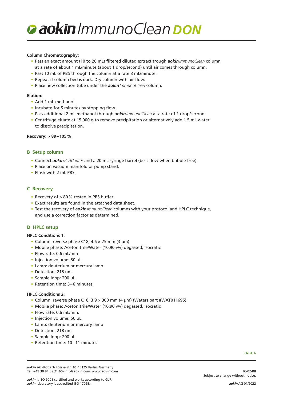

#### **Column Chromatography:**

- Pass an exact amount (10 to 20 mL) filtered diluted extract trough *aokinImmunoClean* column at a rate of about 1 mL/minute (about 1 drop/second) until air comes through column.
- Pass 10 mL of PBS through the column at a rate 3 mL/minute.
- Repeat if column bed is dark. Dry column with air flow.
- Place new collection tube under the *aokinImmunoClean* column.

#### **Elution:**

- Add 1 mL methanol.
- Incubate for 5 minutes by stopping flow.
- Pass additional 2 mL methanol through *aokinImmunoClean* at a rate of 1 drop/second.
- Centrifuge eluate at 15.000 g to remove precipitation or alternatively add 1.5 mL water to dissolve precipitation.

#### **Recovery: > 89–105%**

#### **B Setup column**

- Connect *aokinICAdapter* and a 20 mL syringe barrel (best flow when bubble free).
- Place on vacuum manifold or pump stand.
- Flush with 2 mL PBS.

#### **C Recovery**

- Recovery of > 80% tested in PBS buffer.
- Exact results are found in the attached data sheet.
- Test the recovery of *aokinImmunoClean* columns with your protocol and HPLC technique, and use a correction factor as determined.

#### **D HPLC setup**

#### **HPLC Conditions 1:**

- Column: reverse phase C18, 4.6 × 75 mm (3 µm)
- Mobile phase: Acetonitrile/Water (10:90 v/v) degassed, isocratic
- Flow rate: 0.6 mL/min
- Injection volume: 50 µL
- Lamp: deuterium or mercury lamp
- Detection: 218 nm
- Sample loop: 200 µL
- Retention time: 5–6 minutes

#### **HPLC Conditions 2:**

- Column: reverse phase C18, 3.9 × 300 mm (4 µm) (Waters part #WAT011695)
- Mobile phase: Acetonitrile/Water (10:90 v/v) degassed, isocratic
- Flow rate: 0.6 mL/min.
- Injection volume: 50 µL
- Lamp: deuterium or mercury lamp
- Detection: 218 nm
- Sample loop: 200 µL
- Retention time: 10–11 minutes

PAGE 6

*aokin* AG·Robert-Rössle-Str. 10·13125 Berlin·Germany Tel. +49 30 94 89 21 60·info@aokin.com·www.aokin.com

*aokin* is ISO 9001 certified and works according to GLP. *aokin* laboratory is accredited ISO 17025.